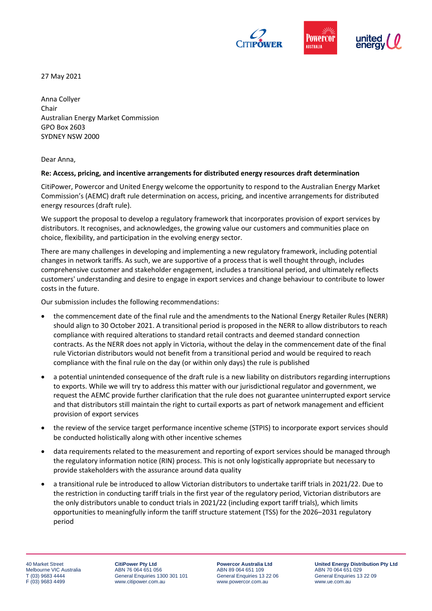

27 May 2021

Anna Collyer Chair Australian Energy Market Commission GPO Box 2603 SYDNEY NSW 2000

Dear Anna,

#### **Re: Access, pricing, and incentive arrangements for distributed energy resources draft determination**

CitiPower, Powercor and United Energy welcome the opportunity to respond to the Australian Energy Market Commission's (AEMC) draft rule determination on access, pricing, and incentive arrangements for distributed energy resources (draft rule).

We support the proposal to develop a regulatory framework that incorporates provision of export services by distributors. It recognises, and acknowledges, the growing value our customers and communities place on choice, flexibility, and participation in the evolving energy sector.

There are many challenges in developing and implementing a new regulatory framework, including potential changes in network tariffs. As such, we are supportive of a process that is well thought through, includes comprehensive customer and stakeholder engagement, includes a transitional period, and ultimately reflects customers' understanding and desire to engage in export services and change behaviour to contribute to lower costs in the future.

Our submission includes the following recommendations:

- the commencement date of the final rule and the amendments to the National Energy Retailer Rules (NERR) should align to 30 October 2021. A transitional period is proposed in the NERR to allow distributors to reach compliance with required alterations to standard retail contracts and deemed standard connection contracts. As the NERR does not apply in Victoria, without the delay in the commencement date of the final rule Victorian distributors would not benefit from a transitional period and would be required to reach compliance with the final rule on the day (or within only days) the rule is published
- a potential unintended consequence of the draft rule is a new liability on distributors regarding interruptions to exports. While we will try to address this matter with our jurisdictional regulator and government, we request the AEMC provide further clarification that the rule does not guarantee uninterrupted export service and that distributors still maintain the right to curtail exports as part of network management and efficient provision of export services
- the review of the service target performance incentive scheme (STPIS) to incorporate export services should be conducted holistically along with other incentive schemes
- data requirements related to the measurement and reporting of export services should be managed through the regulatory information notice (RIN) process. This is not only logistically appropriate but necessary to provide stakeholders with the assurance around data quality
- a transitional rule be introduced to allow Victorian distributors to undertake tariff trials in 2021/22. Due to the restriction in conducting tariff trials in the first year of the regulatory period, Victorian distributors are the only distributors unable to conduct trials in 2021/22 (including export tariff trials), which limits opportunities to meaningfully inform the tariff structure statement (TSS) for the 2026–2031 regulatory period

40 Market Street Melbourne VIC Australia T (03) 9683 4444 F (03) 9683 4499

**CitiPower Pty Ltd** ABN 76 064 651 056 General Enquiries 1300 301 101 www.citipower.com.au

**Powercor Australia Ltd** ABN 89 064 651 109 General Enquiries 13 22 06 www.powercor.com.au

**United Energy Distribution Pty Ltd** ABN 70 064 651 029 General Enquiries 13 22 09 www.ue.com.au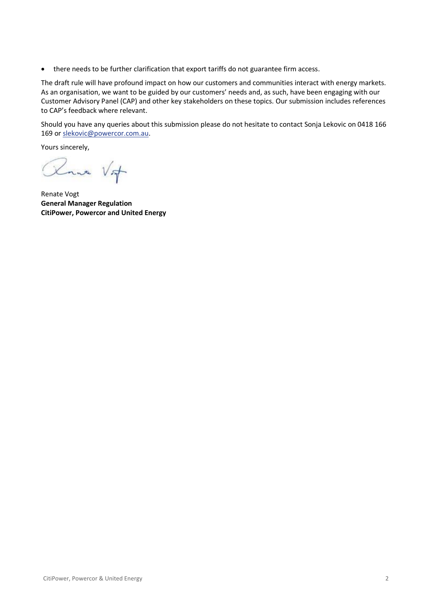• there needs to be further clarification that export tariffs do not guarantee firm access.

The draft rule will have profound impact on how our customers and communities interact with energy markets. As an organisation, we want to be guided by our customers' needs and, as such, have been engaging with our Customer Advisory Panel (CAP) and other key stakeholders on these topics. Our submission includes references to CAP's feedback where relevant.

Should you have any queries about this submission please do not hesitate to contact Sonja Lekovic on 0418 166 169 o[r slekovic@powercor.com.au.](mailto:slekovic@powercor.com.au)

Yours sincerely,

Roma Vit

Renate Vogt **General Manager Regulation CitiPower, Powercor and United Energy**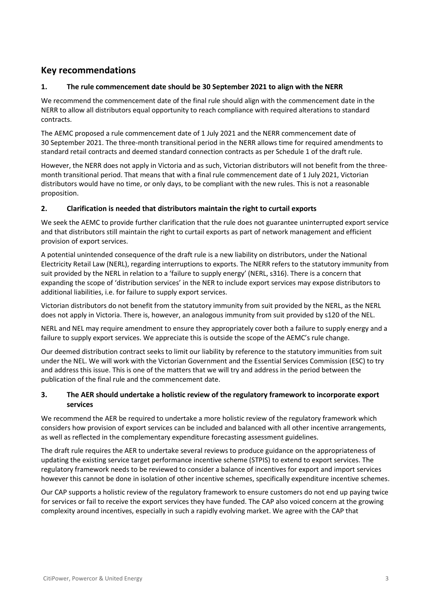# **Key recommendations**

# **1. The rule commencement date should be 30 September 2021 to align with the NERR**

We recommend the commencement date of the final rule should align with the commencement date in the NERR to allow all distributors equal opportunity to reach compliance with required alterations to standard contracts.

The AEMC proposed a rule commencement date of 1 July 2021 and the NERR commencement date of 30 September 2021. The three-month transitional period in the NERR allows time for required amendments to standard retail contracts and deemed standard connection contracts as per Schedule 1 of the draft rule.

However, the NERR does not apply in Victoria and as such, Victorian distributors will not benefit from the threemonth transitional period. That means that with a final rule commencement date of 1 July 2021, Victorian distributors would have no time, or only days, to be compliant with the new rules. This is not a reasonable proposition.

## **2. Clarification is needed that distributors maintain the right to curtail exports**

We seek the AEMC to provide further clarification that the rule does not guarantee uninterrupted export service and that distributors still maintain the right to curtail exports as part of network management and efficient provision of export services.

A potential unintended consequence of the draft rule is a new liability on distributors, under the National Electricity Retail Law (NERL), regarding interruptions to exports. The NERR refers to the statutory immunity from suit provided by the NERL in relation to a 'failure to supply energy' (NERL, s316). There is a concern that expanding the scope of 'distribution services' in the NER to include export services may expose distributors to additional liabilities, i.e. for failure to supply export services.

Victorian distributors do not benefit from the statutory immunity from suit provided by the NERL, as the NERL does not apply in Victoria. There is, however, an analogous immunity from suit provided by s120 of the NEL.

NERL and NEL may require amendment to ensure they appropriately cover both a failure to supply energy and a failure to supply export services. We appreciate this is outside the scope of the AEMC's rule change.

Our deemed distribution contract seeks to limit our liability by reference to the statutory immunities from suit under the NEL. We will work with the Victorian Government and the Essential Services Commission (ESC) to try and address this issue. This is one of the matters that we will try and address in the period between the publication of the final rule and the commencement date.

# **3. The AER should undertake a holistic review of the regulatory framework to incorporate export services**

We recommend the AER be required to undertake a more holistic review of the regulatory framework which considers how provision of export services can be included and balanced with all other incentive arrangements, as well as reflected in the complementary expenditure forecasting assessment guidelines.

The draft rule requires the AER to undertake several reviews to produce guidance on the appropriateness of updating the existing service target performance incentive scheme (STPIS) to extend to export services. The regulatory framework needs to be reviewed to consider a balance of incentives for export and import services however this cannot be done in isolation of other incentive schemes, specifically expenditure incentive schemes.

Our CAP supports a holistic review of the regulatory framework to ensure customers do not end up paying twice for services or fail to receive the export services they have funded. The CAP also voiced concern at the growing complexity around incentives, especially in such a rapidly evolving market. We agree with the CAP that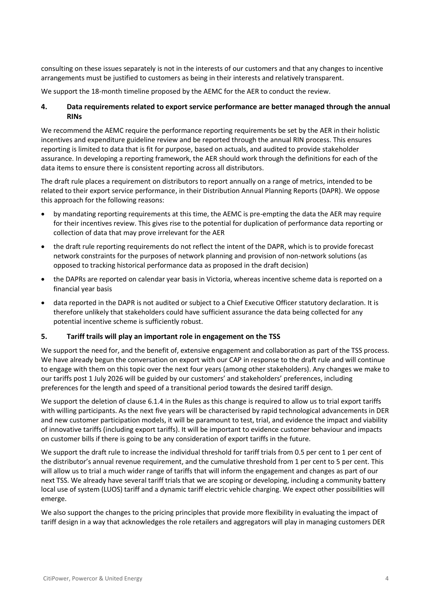consulting on these issues separately is not in the interests of our customers and that any changes to incentive arrangements must be justified to customers as being in their interests and relatively transparent.

We support the 18-month timeline proposed by the AEMC for the AER to conduct the review.

## **4. Data requirements related to export service performance are better managed through the annual RINs**

We recommend the AEMC require the performance reporting requirements be set by the AER in their holistic incentives and expenditure guideline review and be reported through the annual RIN process. This ensures reporting is limited to data that is fit for purpose, based on actuals, and audited to provide stakeholder assurance. In developing a reporting framework, the AER should work through the definitions for each of the data items to ensure there is consistent reporting across all distributors.

The draft rule places a requirement on distributors to report annually on a range of metrics, intended to be related to their export service performance, in their Distribution Annual Planning Reports (DAPR). We oppose this approach for the following reasons:

- by mandating reporting requirements at this time, the AEMC is pre-empting the data the AER may require for their incentives review. This gives rise to the potential for duplication of performance data reporting or collection of data that may prove irrelevant for the AER
- the draft rule reporting requirements do not reflect the intent of the DAPR, which is to provide forecast network constraints for the purposes of network planning and provision of non-network solutions (as opposed to tracking historical performance data as proposed in the draft decision)
- the DAPRs are reported on calendar year basis in Victoria, whereas incentive scheme data is reported on a financial year basis
- data reported in the DAPR is not audited or subject to a Chief Executive Officer statutory declaration. It is therefore unlikely that stakeholders could have sufficient assurance the data being collected for any potential incentive scheme is sufficiently robust.

#### **5. Tariff trails will play an important role in engagement on the TSS**

We support the need for, and the benefit of, extensive engagement and collaboration as part of the TSS process. We have already begun the conversation on export with our CAP in response to the draft rule and will continue to engage with them on this topic over the next four years (among other stakeholders). Any changes we make to our tariffs post 1 July 2026 will be guided by our customers' and stakeholders' preferences, including preferences for the length and speed of a transitional period towards the desired tariff design.

We support the deletion of clause 6.1.4 in the Rules as this change is required to allow us to trial export tariffs with willing participants. As the next five years will be characterised by rapid technological advancements in DER and new customer participation models, it will be paramount to test, trial, and evidence the impact and viability of innovative tariffs (including export tariffs). It will be important to evidence customer behaviour and impacts on customer bills if there is going to be any consideration of export tariffs in the future.

We support the draft rule to increase the individual threshold for tariff trials from 0.5 per cent to 1 per cent of the distributor's annual revenue requirement, and the cumulative threshold from 1 per cent to 5 per cent. This will allow us to trial a much wider range of tariffs that will inform the engagement and changes as part of our next TSS. We already have several tariff trials that we are scoping or developing, including a community battery local use of system (LUOS) tariff and a dynamic tariff electric vehicle charging. We expect other possibilities will emerge.

We also support the changes to the pricing principles that provide more flexibility in evaluating the impact of tariff design in a way that acknowledges the role retailers and aggregators will play in managing customers DER